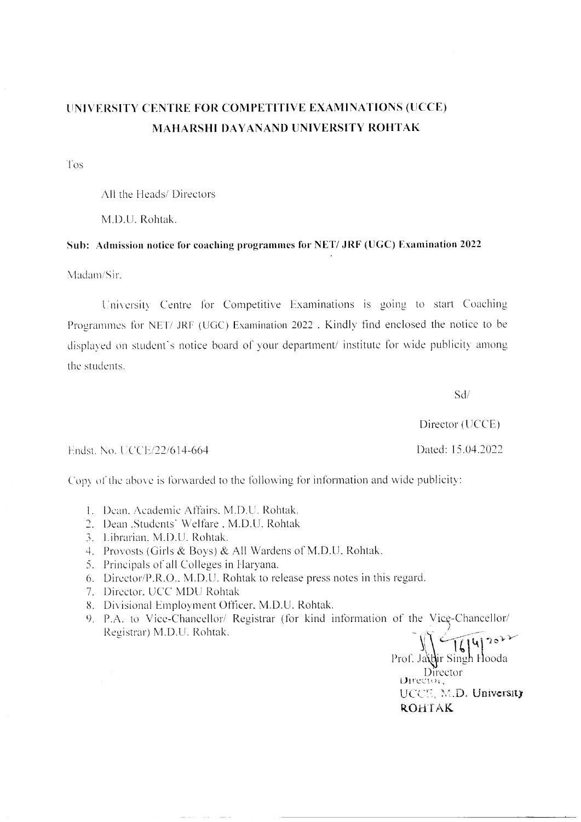# UNIVERSITY CENTRE FOR COMPETITIVE EXAMINATIONS (UCCE) **MAHARSHI DAYANAND UNIVERSITY ROHTAK**

Tos

All the Heads/ Directors

M.D.U. Rohtak.

## Sub: Admission notice for coaching programmes for NET/ JRF (UGC) Examination 2022

Madam/Sir

University Centre for Competitive Examinations is going to start Coaching Programmes for NET/ JRF (UGC) Examination 2022. Kindly find enclosed the notice to be displayed on student's notice board of your department/ institute for wide publicity among the students.

 $Sd/$ 

Director (UCCE) Dated: 15.04.2022

Endst. No. UCCE/22/614-664

Copy of the above is forwarded to the following for information and wide publicity:

- 1. Dean, Academic Affairs, M.D.U. Rohtak.
- 2. Dean Students' Welfare, M.D.U. Rohtak
- 3. Librarian, M.D.U. Rohtak.
- 4. Provosts (Girls & Boys) & All Wardens of M.D.U. Rohtak.
- 5. Principals of all Colleges in Haryana.
- 6. Director/P.R.O., M.D.U. Rohtak to release press notes in this regard.
- 7. Director, UCC MDU Rohtak
- 8. Divisional Employment Officer, M.D.U. Rohtak.
- 9. P.A. to Vice-Chancellor/ Registrar (for kind information of the Vice-Chancellor/ Registrar) M.D.U. Rohtak.

Prof. Jaidir Singh Hooda Director Director, UCCE, M.D. University **ROHTAK**